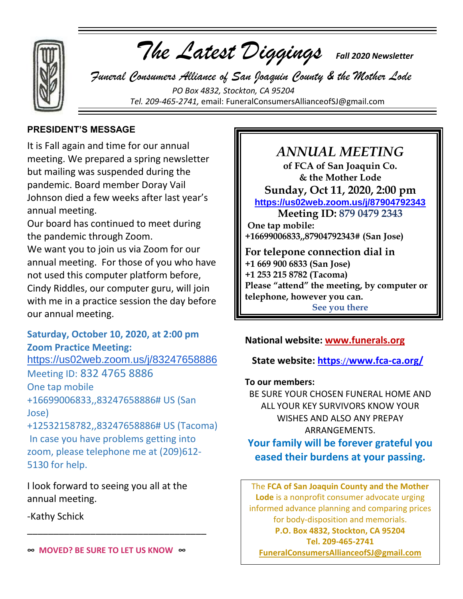

 *The Latest Diggings Fall 2020 Newsletter*

 *Funeral Consumers Alliance of San Joaquin County & the Mother Lode PO Box 4832, Stockton, CA 95204 Tel. 209-465-2741,* email: [FuneralConsumersAllianceofSJ@gmail.com](mailto:FuneralConsumersAllianceofSJ@gmail.com)

### **PRESIDENT'S MESSAGE**

It is Fall again and time for our annual meeting. We prepared a spring newsletter but mailing was suspended during the pandemic. Board member Doray Vail Johnson died a few weeks after last year's annual meeting.

Our board has continued to meet during the pandemic through Zoom.

We want you to join us via Zoom for our annual meeting. For those of you who have not used this computer platform before, Cindy Riddles, our computer guru, will join with me in a practice session the day before our annual meeting.

## **Saturday, October 10, 2020, at 2:00 pm Zoom Practice Meeting:**

<https://us02web.zoom.us/j/83247658886> Meeting ID: 832 4765 8886 One tap mobile +16699006833,,83247658886# US (San Jose) +12532158782,,83247658886# US (Tacoma) In case you have problems getting into

zoom, please telephone me at (209)612- 5130 for help.

I look forward to seeing you all at the annual meeting.

-Kathy Schick

\_\_\_\_\_\_\_\_\_\_\_\_\_\_\_\_\_\_\_\_\_\_\_\_\_\_\_\_\_\_\_\_\_\_

# *ANNUAL MEETING*

**of FCA of San Joaquin Co. & the Mother Lode Sunday, Oct 11, 2020, 2:00 pm <https://us02web.zoom.us/j/87904792343> Meeting ID: 879 0479 2343 One tap mobile: +16699006833,,87904792343# (San Jose) For telepone connection dial in +1 669 900 6833 (San Jose) +1 253 215 8782 (Tacoma) Please "attend" the meeting, by computer or telephone, however you can.**

**See you there**

# **National website: [www.funerals.org](http://www.funerals.org/)**

# **State website: https**://**www.fca-ca.org/**

#### **To our members:**

BE SURE YOUR CHOSEN FUNERAL HOME AND ALL YOUR KEY SURVIVORS KNOW YOUR WISHES AND ALSO ANY PREPAY ARRANGEMENTS.

# **Your family will be forever grateful you eased their burdens at your passing.**

The **FCA of San Joaquin County and the Mother Lode** is a nonprofit consumer advocate urging informed advance planning and comparing prices for body-disposition and memorials. **P.O. Box 4832, Stockton, CA 95204 Tel. 209-465-2741 [FuneralConsumersAllianceofSJ@gmail.com](mailto:FuneralConsumersAllianceofSJ@gmail.com)**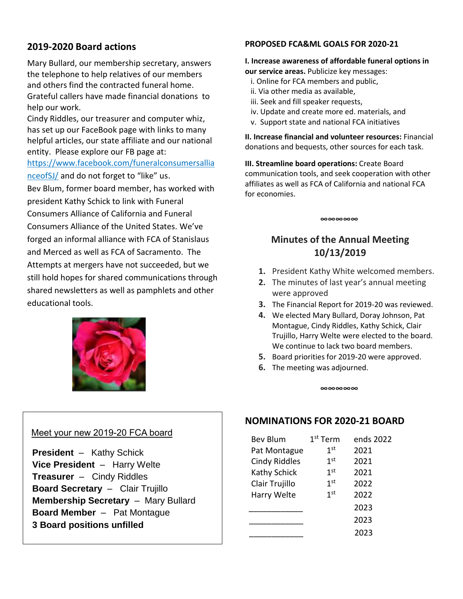## **2019-2020 Board actions**

Mary Bullard, our membership secretary, answers the telephone to help relatives of our members and others find the contracted funeral home. Grateful callers have made financial donations to help our work.

Cindy Riddles, our treasurer and computer whiz, has set up our FaceBook page with links to many helpful articles, our state affiliate and our national entity. Please explore our FB page at:

[https://www.facebook.com/funeralconsumersallia](https://www.facebook.com/funeralconsumersallianceofSJ/)

[nceofSJ/](https://www.facebook.com/funeralconsumersallianceofSJ/) and do not forget to "like" us.

Bev Blum, former board member, has worked with

president Kathy Schick to link with Funeral Consumers Alliance of California and Funeral Consumers Alliance of the United States. We've forged an informal alliance with FCA of Stanislaus and Merced as well as FCA of Sacramento. The Attempts at mergers have not succeeded, but we still hold hopes for shared communications through shared newsletters as well as pamphlets and other educational tools.



#### Meet your new 2019-20 FCA board

 **President** – Kathy Schick **Vice President** – Harry Welte **Treasurer** – Cindy Riddles **Board Secretary** – Clair Trujillo **Membership Secretary** – Mary Bullard **Board Member** – Pat Montague  **3 Board positions unfilled**

### **PROPOSED FCA&ML GOALS FOR 2020-21**

#### **I. Increase awareness of affordable funeral options in our service areas.** Publicize key messages:

- i. Online for FCA members and public,
- ii. Via other media as available,
- iii. Seek and fill speaker requests,
- iv. Update and create more ed. materials, and
- v. Support state and national FCA initiatives

**II. Increase financial and volunteer resources:** Financial donations and bequests, other sources for each task.

**III. Streamline board operations:** Create Board communication tools, and seek cooperation with other affiliates as well as FCA of California and national FCA for economies.

**∞∞∞∞∞**

# **Minutes of the Annual Meeting 10/13/2019**

- **1.** President Kathy White welcomed members.
- **2.** The minutes of last year's annual meeting were approved
- **3.** The Financial Report for 2019-20 was reviewed.
- **4.** We elected Mary Bullard, Doray Johnson, Pat Montague, Cindy Riddles, Kathy Schick, Clair Trujillo, Harry Welte were elected to the board. We continue to lack two board members.
- **5.** Board priorities for 2019-20 were approved.
- **6.** The meeting was adjourned.

**∞∞∞∞∞**

# **NOMINATIONS FOR 2020-21 BOARD**

| <b>Bev Blum</b>      | $1st$ Term<br>ends 2022 |      |  |
|----------------------|-------------------------|------|--|
| Pat Montague         | 1 <sup>st</sup>         | 2021 |  |
| <b>Cindy Riddles</b> | 1 <sup>st</sup>         | 2021 |  |
| Kathy Schick         | 1 <sup>st</sup>         | 2021 |  |
| Clair Trujillo       | 1 <sup>st</sup>         | 2022 |  |
| Harry Welte          | 1 <sup>st</sup>         | 2022 |  |
|                      |                         | 2023 |  |
|                      |                         | 2023 |  |
|                      |                         | 2023 |  |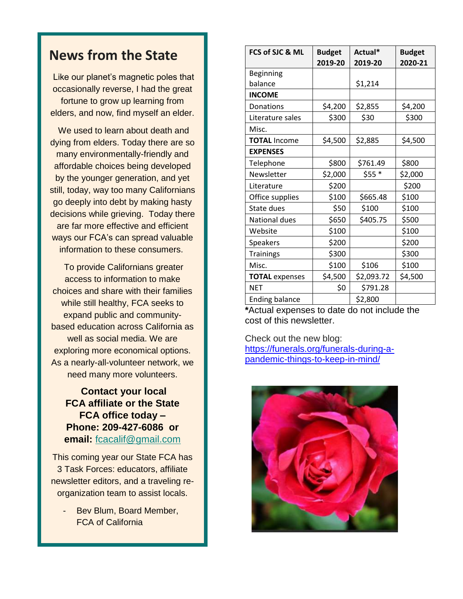# **News from the State**

Like our planet's magnetic poles that occasionally reverse, I had the great fortune to grow up learning from elders, and now, find myself an elder.

We used to learn about death and dying from elders. Today there are so many environmentally-friendly and affordable choices being developed by the younger generation, and yet still, today, way too many Californians go deeply into debt by making hasty decisions while grieving. Today there are far more effective and efficient ways our FCA's can spread valuable information to these consumers.

To provide Californians greater access to information to make choices and share with their families while still healthy, FCA seeks to expand public and communitybased education across California as well as social media. We are exploring more economical options. As a nearly-all-volunteer network, we need many more volunteers.

**Contact your local FCA affiliate or the State FCA office today – Phone: 209-427-6086 or email:** [fcacalif@gmail.com](mailto:fcacalif@gmail.com)

This coming year our State FCA has 3 Task Forces: educators, affiliate newsletter editors, and a traveling reorganization team to assist locals.

Bev Blum, Board Member, FCA of California

| FCS of SJC & ML       | <b>Budget</b> | Actual*    | <b>Budget</b> |
|-----------------------|---------------|------------|---------------|
|                       | 2019-20       | 2019-20    | 2020-21       |
| Beginning             |               |            |               |
| balance               |               | \$1,214    |               |
| <b>INCOME</b>         |               |            |               |
| Donations             | \$4,200       | \$2,855    | \$4,200       |
| Literature sales      | \$300         | \$30       | \$300         |
| Misc.                 |               |            |               |
| <b>TOTAL Income</b>   | \$4,500       | \$2,885    | \$4,500       |
| <b>EXPENSES</b>       |               |            |               |
| Telephone             | \$800         | \$761.49   | \$800         |
| Newsletter            | \$2,000       | $$55*$     | \$2,000       |
| Literature            | \$200         |            | \$200         |
| Office supplies       | \$100         | \$665.48   | \$100         |
| State dues            | \$50          | \$100      | \$100         |
| National dues         | \$650         | \$405.75   | \$500         |
| Website               | \$100         |            | \$100         |
| Speakers              | \$200         |            | \$200         |
| <b>Trainings</b>      | \$300         |            | \$300         |
| Misc.                 | \$100         | \$106      | \$100         |
| <b>TOTAL</b> expenses | \$4,500       | \$2,093.72 | \$4,500       |
| <b>NET</b>            | \$0           | \$791.28   |               |
| <b>Ending balance</b> |               | \$2,800    |               |

**\***Actual expenses to date do not include the cost of this newsletter.

Check out the new blog: [https://funerals.org/funerals-during-a](https://funerals.org/funerals-during-a-pandemic-things-to-keep-in-mind/)[pandemic-things-to-keep-in-mind/](https://funerals.org/funerals-during-a-pandemic-things-to-keep-in-mind/)